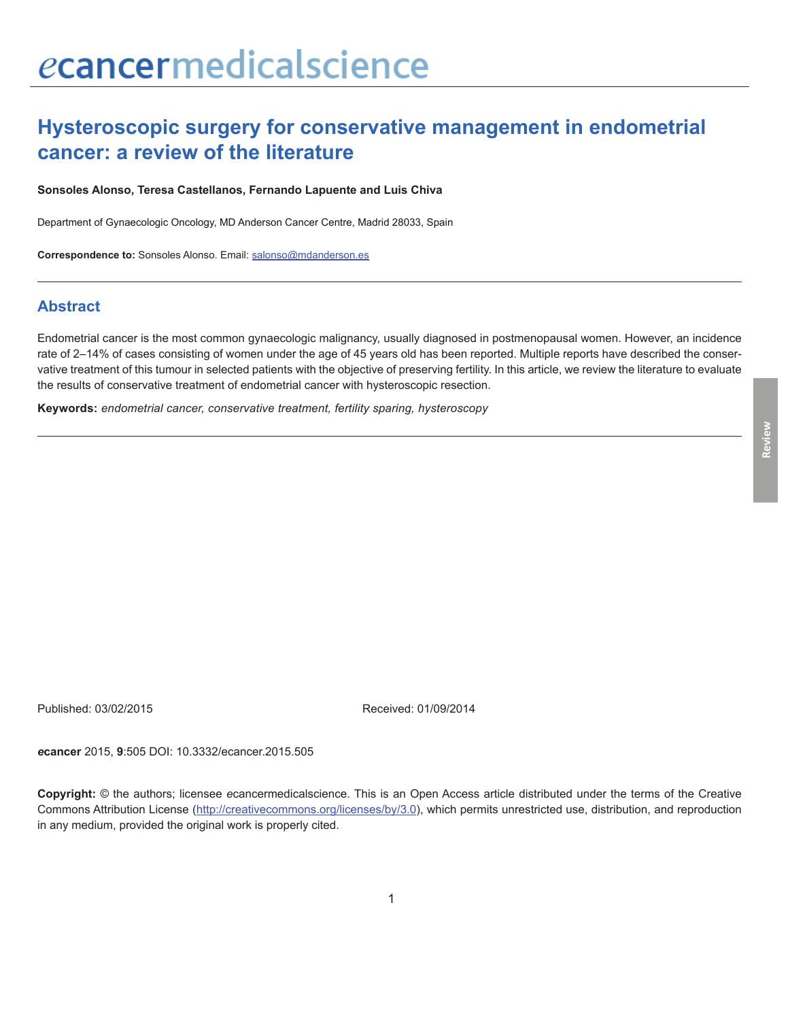# ecancermedicalscience

# **Hysteroscopic surgery for conservative management in endometrial cancer: a review of the literature**

**Sonsoles Alonso, Teresa Castellanos, Fernando Lapuente and Luis Chiva**

Department of Gynaecologic Oncology, MD Anderson Cancer Centre, Madrid 28033, Spain

**Correspondence to:** Sonsoles Alonso. Email: salonso@mdanderson.es

#### **Abstract**

Endometrial cancer is the most common gynaecologic malignancy, usually diagnosed in postmenopausal women. However, an incidence rate of 2–14% of cases consisting of women under the age of 45 years old has been reported. Multiple reports have described the conservative treatment of this tumour in selected patients with the objective of preserving fertility. In this article, we review the literature to evaluate the results of conservative treatment of endometrial cancer with hysteroscopic resection.

**Keywords:** *endometrial cancer, conservative treatment, fertility sparing, hysteroscopy*

Published: 03/02/2015 Received: 01/09/2014

*e***cancer** 2015, **9**:505 DOI: 10.3332/ecancer.2015.505

**Copyright:** © the authors; licensee *e*cancermedicalscience. This is an Open Access article distributed under the terms of the Creative Commons Attribution License (http://creativecommons.org/licenses/by/3.0), which permits unrestricted use, distribution, and reproduction in any medium, provided the original work is properly cited.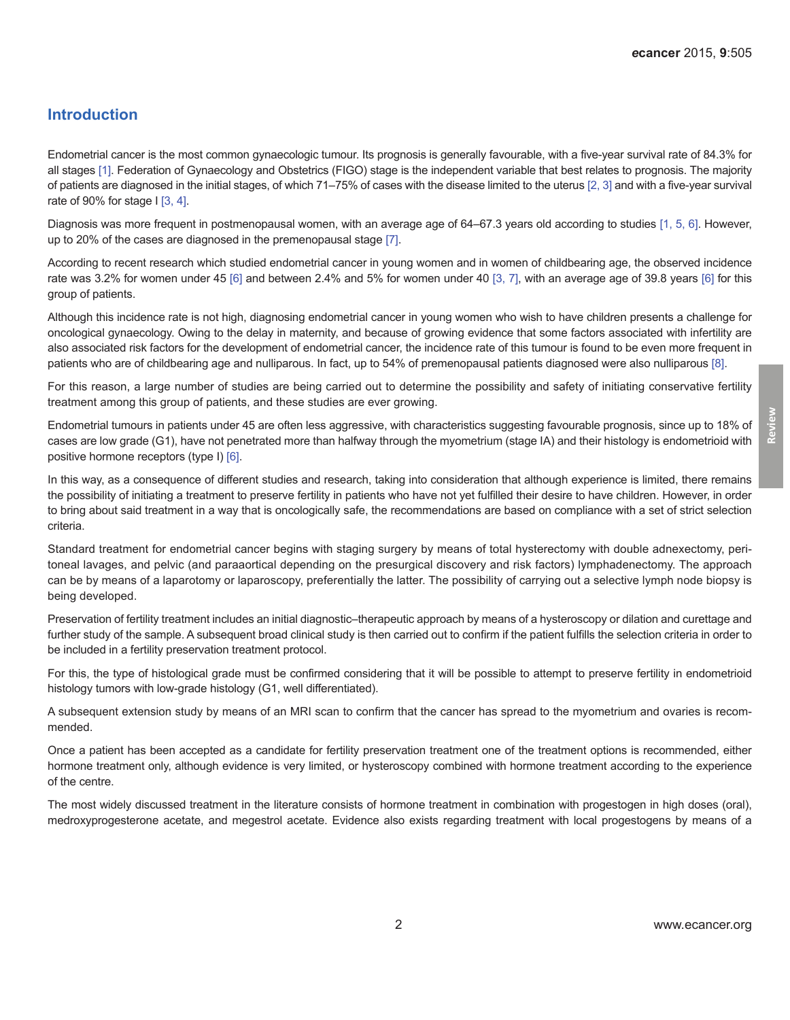#### **Introduction**

Endometrial cancer is the most common gynaecologic tumour. Its prognosis is generally favourable, with a five-year survival rate of 84.3% for all stages [\[1\].](#page-9-0) Federation of Gynaecology and Obstetrics (FIGO) stage is the independent variable that best relates to prognosis. The majority of patients are diagnosed in the initial stages, of which 71–75% of cases with the disease limited to the uterus [\[2, 3\]](#page-9-0) and with a five-year survival rate of 90% for stage I [\[3, 4\]](#page-9-0).

Diagnosis was more frequent in postmenopausal women, with an average age of 64–67.3 years old according to studies [\[1, 5, 6\]](#page-9-0). However, up to 20% of the cases are diagnosed in the premenopausal stage [\[7\].](#page-9-0)

According to recent research which studied endometrial cancer in young women and in women of childbearing age, the observed incidence rate was 3.2% for women under 45 [\[6\]](#page-9-0) and between 2.4% and 5% for women under 40 [\[3, 7\],](#page-9-0) with an average age of 39.8 years [\[6\]](#page-9-0) for this group of patients.

Although this incidence rate is not high, diagnosing endometrial cancer in young women who wish to have children presents a challenge for oncological gynaecology. Owing to the delay in maternity, and because of growing evidence that some factors associated with infertility are also associated risk factors for the development of endometrial cancer, the incidence rate of this tumour is found to be even more frequent in patients who are of childbearing age and nulliparous. In fact, up to 54% of premenopausal patients diagnosed were also nulliparous [\[8\]](#page-9-0).

For this reason, a large number of studies are being carried out to determine the possibility and safety of initiating conservative fertility treatment among this group of patients, and these studies are ever growing.

Endometrial tumours in patients under 45 are often less aggressive, with characteristics suggesting favourable prognosis, since up to 18% of cases are low grade (G1), have not penetrated more than halfway through the myometrium (stage IA) and their histology is endometrioid with positive hormone receptors (type I) [\[6\]](#page-9-0).

In this way, as a consequence of different studies and research, taking into consideration that although experience is limited, there remains the possibility of initiating a treatment to preserve fertility in patients who have not yet fulfilled their desire to have children. However, in order to bring about said treatment in a way that is oncologically safe, the recommendations are based on compliance with a set of strict selection criteria.

Standard treatment for endometrial cancer begins with staging surgery by means of total hysterectomy with double adnexectomy, peritoneal lavages, and pelvic (and paraaortical depending on the presurgical discovery and risk factors) lymphadenectomy. The approach can be by means of a laparotomy or laparoscopy, preferentially the latter. The possibility of carrying out a selective lymph node biopsy is being developed.

Preservation of fertility treatment includes an initial diagnostic–therapeutic approach by means of a hysteroscopy or dilation and curettage and further study of the sample. A subsequent broad clinical study is then carried out to confirm if the patient fulfills the selection criteria in order to be included in a fertility preservation treatment protocol.

For this, the type of histological grade must be confirmed considering that it will be possible to attempt to preserve fertility in endometrioid histology tumors with low-grade histology (G1, well differentiated).

A subsequent extension study by means of an MRI scan to confirm that the cancer has spread to the myometrium and ovaries is recommended.

Once a patient has been accepted as a candidate for fertility preservation treatment one of the treatment options is recommended, either hormone treatment only, although evidence is very limited, or hysteroscopy combined with hormone treatment according to the experience of the centre.

The most widely discussed treatment in the literature consists of hormone treatment in combination with progestogen in high doses (oral), medroxyprogesterone acetate, and megestrol acetate. Evidence also exists regarding treatment with local progestogens by means of a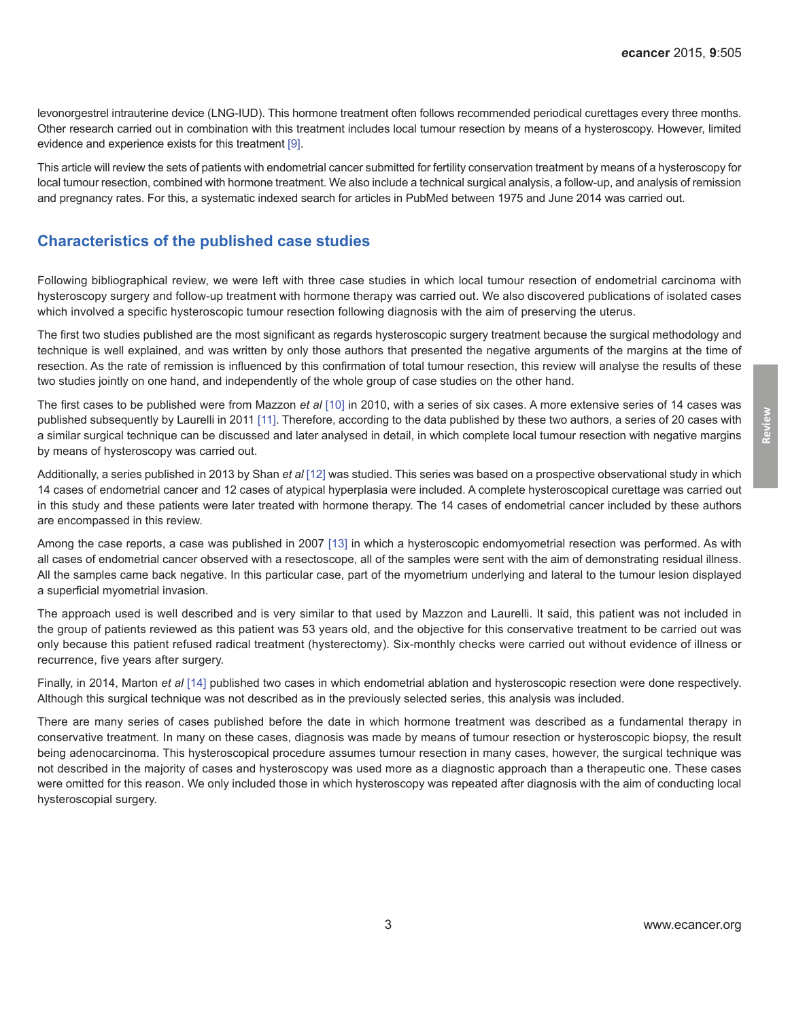levonorgestrel intrauterine device (LNG-IUD). This hormone treatment often follows recommended periodical curettages every three months. Other research carried out in combination with this treatment includes local tumour resection by means of a hysteroscopy. However, limited evidence and experience exists for this treatment [\[9\].](#page-9-0)

This article will review the sets of patients with endometrial cancer submitted for fertility conservation treatment by means of a hysteroscopy for local tumour resection, combined with hormone treatment. We also include a technical surgical analysis, a follow-up, and analysis of remission and pregnancy rates. For this, a systematic indexed search for articles in PubMed between 1975 and June 2014 was carried out.

#### **Characteristics of the published case studies**

Following bibliographical review, we were left with three case studies in which local tumour resection of endometrial carcinoma with hysteroscopy surgery and follow-up treatment with hormone therapy was carried out. We also discovered publications of isolated cases which involved a specific hysteroscopic tumour resection following diagnosis with the aim of preserving the uterus.

The first two studies published are the most significant as regards hysteroscopic surgery treatment because the surgical methodology and technique is well explained, and was written by only those authors that presented the negative arguments of the margins at the time of resection. As the rate of remission is influenced by this confirmation of total tumour resection, this review will analyse the results of these two studies jointly on one hand, and independently of the whole group of case studies on the other hand.

The first cases to be published were from Mazzon *et al* [\[10\]](#page-9-0) in 2010, with a series of six cases. A more extensive series of 14 cases was published subsequently by Laurelli in 2011 [\[11\]](#page-10-0). Therefore, according to the data published by these two authors, a series of 20 cases with a similar surgical technique can be discussed and later analysed in detail, in which complete local tumour resection with negative margins by means of hysteroscopy was carried out.

Additionally, a series published in 2013 by Shan *et al* [\[12\]](#page-10-0) was studied. This series was based on a prospective observational study in which 14 cases of endometrial cancer and 12 cases of atypical hyperplasia were included. A complete hysteroscopical curettage was carried out in this study and these patients were later treated with hormone therapy. The 14 cases of endometrial cancer included by these authors are encompassed in this review.

Among the case reports, a case was published in 2007 [\[13\]](#page-10-0) in which a hysteroscopic endomyometrial resection was performed. As with all cases of endometrial cancer observed with a resectoscope, all of the samples were sent with the aim of demonstrating residual illness. All the samples came back negative. In this particular case, part of the myometrium underlying and lateral to the tumour lesion displayed a superficial myometrial invasion.

The approach used is well described and is very similar to that used by Mazzon and Laurelli. It said, this patient was not included in the group of patients reviewed as this patient was 53 years old, and the objective for this conservative treatment to be carried out was only because this patient refused radical treatment (hysterectomy). Six-monthly checks were carried out without evidence of illness or recurrence, five years after surgery.

Finally, in 2014, Marton *et al* [\[14\]](#page-10-0) published two cases in which endometrial ablation and hysteroscopic resection were done respectively. Although this surgical technique was not described as in the previously selected series, this analysis was included.

There are many series of cases published before the date in which hormone treatment was described as a fundamental therapy in conservative treatment. In many on these cases, diagnosis was made by means of tumour resection or hysteroscopic biopsy, the result being adenocarcinoma. This hysteroscopical procedure assumes tumour resection in many cases, however, the surgical technique was not described in the majority of cases and hysteroscopy was used more as a diagnostic approach than a therapeutic one. These cases were omitted for this reason. We only included those in which hysteroscopy was repeated after diagnosis with the aim of conducting local hysteroscopial surgery.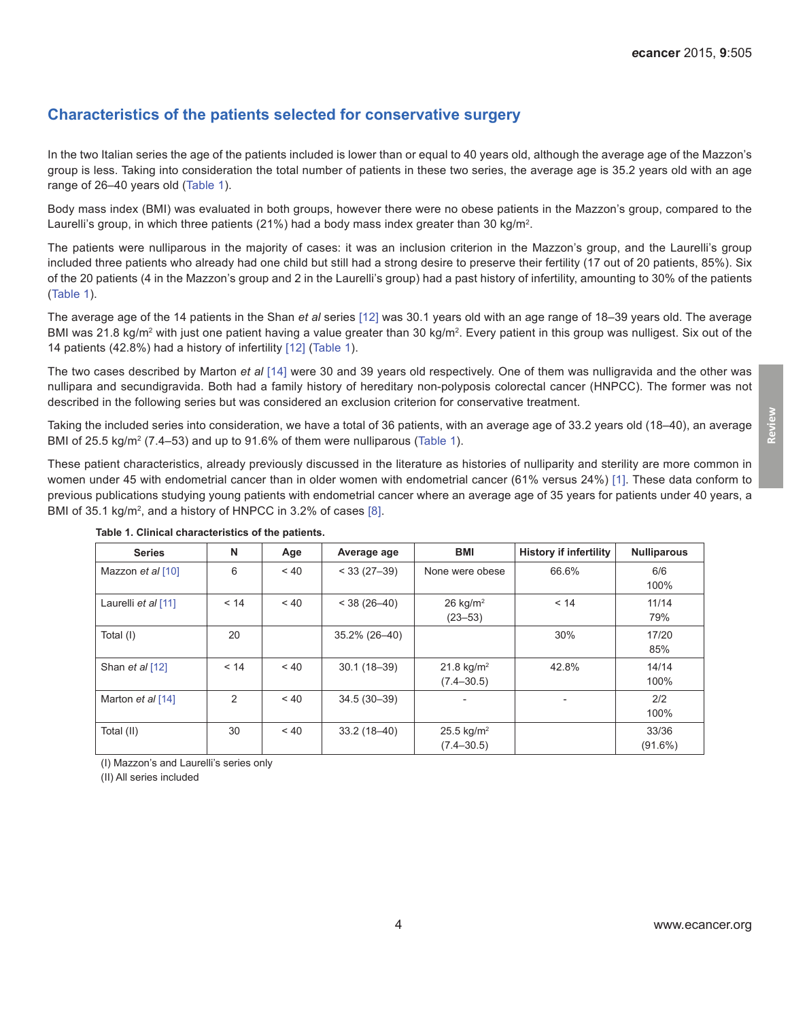## **Characteristics of the patients selected for conservative surgery**

In the two Italian series the age of the patients included is lower than or equal to 40 years old, although the average age of the Mazzon's group is less. Taking into consideration the total number of patients in these two series, the average age is 35.2 years old with an age range of 26–40 years old (Table 1).

Body mass index (BMI) was evaluated in both groups, however there were no obese patients in the Mazzon's group, compared to the Laurelli's group, in which three patients (21%) had a body mass index greater than 30 kg/m<sup>2</sup>.

The patients were nulliparous in the majority of cases: it was an inclusion criterion in the Mazzon's group, and the Laurelli's group included three patients who already had one child but still had a strong desire to preserve their fertility (17 out of 20 patients, 85%). Six of the 20 patients (4 in the Mazzon's group and 2 in the Laurelli's group) had a past history of infertility, amounting to 30% of the patients (Table 1).

The average age of the 14 patients in the Shan *et al* series [\[12\]](#page-10-0) was 30.1 years old with an age range of 18–39 years old. The average BMI was 21.8 kg/m² with just one patient having a value greater than 30 kg/m². Every patient in this group was nulligest. Six out of the 14 patients (42.8%) had a history of infertility [\[12\]](#page-10-0) (Table 1).

The two cases described by Marton *et al* [\[14\]](#page-10-0) were 30 and 39 years old respectively. One of them was nulligravida and the other was nullipara and secundigravida. Both had a family history of hereditary non-polyposis colorectal cancer (HNPCC). The former was not described in the following series but was considered an exclusion criterion for conservative treatment.

Taking the included series into consideration, we have a total of 36 patients, with an average age of 33.2 years old (18–40), an average BMI of 25.5 kg/m<sup>2</sup> (7.4–53) and up to 91.6% of them were nulliparous (Table 1).

These patient characteristics, already previously discussed in the literature as histories of nulliparity and sterility are more common in women under 45 with endometrial cancer than in older women with endometrial cancer (61% versus 24%) [\[1\]](#page-9-0). These data conform to previous publications studying young patients with endometrial cancer where an average age of 35 years for patients under 40 years, a BMI of 35.1 kg/m², and a history of HNPCC in 3.2% of cases  $[8]$ .

| <b>Series</b>       | N    | Age  | Average age     | <b>BMI</b>             | <b>History if infertility</b> | <b>Nulliparous</b> |
|---------------------|------|------|-----------------|------------------------|-------------------------------|--------------------|
| Mazzon et al [10]   | 6    | < 40 | $<$ 33 (27-39)  | None were obese        | 66.6%                         | 6/6                |
|                     |      |      |                 |                        |                               | 100%               |
| Laurelli et al [11] | < 14 | < 40 | $<$ 38 (26-40)  | $26$ kg/m <sup>2</sup> | < 14                          | 11/14              |
|                     |      |      |                 | $(23 - 53)$            |                               | 79%                |
| Total (I)           | 20   |      | 35.2% (26-40)   |                        | 30%                           | 17/20              |
|                     |      |      |                 |                        |                               | 85%                |
| Shan et al [12]     | < 14 | ~10  | $30.1(18 - 39)$ | 21.8 kg/m <sup>2</sup> | 42.8%                         | 14/14              |
|                     |      |      |                 | $(7.4 - 30.5)$         |                               | 100%               |
| Marton et al [14]   | 2    | ~10  | $34.5(30-39)$   | $\overline{a}$         | $\qquad \qquad -$             | 2/2                |
|                     |      |      |                 |                        |                               | 100%               |
| Total (II)          | 30   | < 40 | $33.2(18 - 40)$ | 25.5 kg/m <sup>2</sup> |                               | 33/36              |
|                     |      |      |                 | $(7.4 - 30.5)$         |                               | $(91.6\%)$         |

**Table 1. Clinical characteristics of the patients.**

(I) Mazzon's and Laurelli's series only

(II) All series included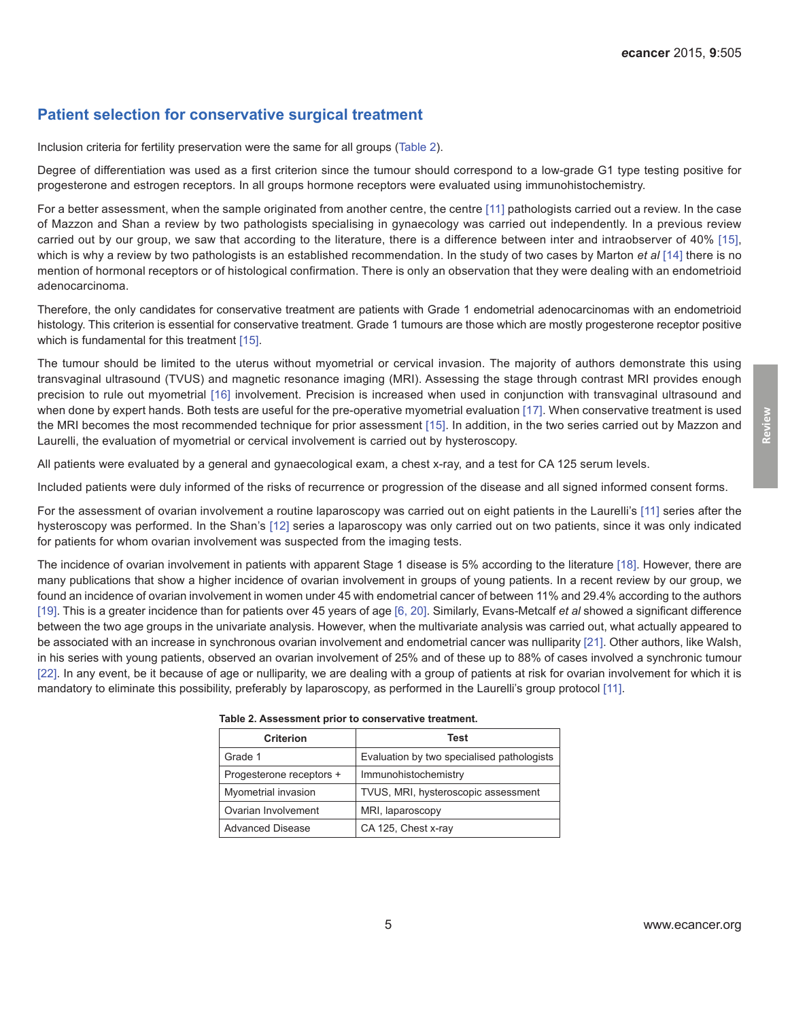#### <span id="page-4-0"></span>**Patient selection for conservative surgical treatment**

Inclusion criteria for fertility preservation were the same for all groups (Table 2).

Degree of differentiation was used as a first criterion since the tumour should correspond to a low-grade G1 type testing positive for progesterone and estrogen receptors. In all groups hormone receptors were evaluated using immunohistochemistry.

For a better assessment, when the sample originated from another centre, the centre [\[11\]](#page-10-0) pathologists carried out a review. In the case of Mazzon and Shan a review by two pathologists specialising in gynaecology was carried out independently. In a previous review carried out by our group, we saw that according to the literature, there is a difference between inter and intraobserver of 40% [\[15\]](#page-10-0), which is why a review by two pathologists is an established recommendation. In the study of two cases by Marton *et al* [\[14\]](#page-10-0) there is no mention of hormonal receptors or of histological confirmation. There is only an observation that they were dealing with an endometrioid adenocarcinoma.

Therefore, the only candidates for conservative treatment are patients with Grade 1 endometrial adenocarcinomas with an endometrioid histology. This criterion is essential for conservative treatment. Grade 1 tumours are those which are mostly progesterone receptor positive which is fundamental for this treatment [\[15\].](#page-10-0)

The tumour should be limited to the uterus without myometrial or cervical invasion. The majority of authors demonstrate this using transvaginal ultrasound (TVUS) and magnetic resonance imaging (MRI). Assessing the stage through contrast MRI provides enough precision to rule out myometrial [\[16\]](#page-10-0) involvement. Precision is increased when used in conjunction with transvaginal ultrasound and when done by expert hands. Both tests are useful for the pre-operative myometrial evaluation [\[17\].](#page-10-0) When conservative treatment is used the MRI becomes the most recommended technique for prior assessment [\[15\]](#page-10-0). In addition, in the two series carried out by Mazzon and Laurelli, the evaluation of myometrial or cervical involvement is carried out by hysteroscopy.

All patients were evaluated by a general and gynaecological exam, a chest x-ray, and a test for CA 125 serum levels.

Included patients were duly informed of the risks of recurrence or progression of the disease and all signed informed consent forms.

For the assessment of ovarian involvement a routine laparoscopy was carried out on eight patients in the Laurelli's [\[11\]](#page-10-0) series after the hysteroscopy was performed. In the Shan's [\[12\]](#page-10-0) series a laparoscopy was only carried out on two patients, since it was only indicated for patients for whom ovarian involvement was suspected from the imaging tests.

The incidence of ovarian involvement in patients with apparent Stage 1 disease is 5% according to the literature [\[18\]](#page-10-0). However, there are many publications that show a higher incidence of ovarian involvement in groups of young patients. In a recent review by our group, we found an incidence of ovarian involvement in women under 45 with endometrial cancer of between 11% and 29.4% according to the authors [\[19\]](#page-10-0). This is a greater incidence than for patients over 45 years of age [\[6,](#page-9-0) [20\].](#page-10-0) Similarly, Evans-Metcalf *et al* showed a significant difference between the two age groups in the univariate analysis. However, when the multivariate analysis was carried out, what actually appeared to be associated with an increase in synchronous ovarian involvement and endometrial cancer was nulliparity [\[21\].](#page-10-0) Other authors, like Walsh, in his series with young patients, observed an ovarian involvement of 25% and of these up to 88% of cases involved a synchronic tumour [\[22\]](#page-10-0). In any event, be it because of age or nulliparity, we are dealing with a group of patients at risk for ovarian involvement for which it is mandatory to eliminate this possibility, preferably by laparoscopy, as performed in the Laurelli's group protocol [\[11\]](#page-10-0).

| <b>Criterion</b>         | Test                                       |
|--------------------------|--------------------------------------------|
| Grade 1                  | Evaluation by two specialised pathologists |
| Progesterone receptors + | Immunohistochemistry                       |
| Myometrial invasion      | TVUS, MRI, hysteroscopic assessment        |
| Ovarian Involvement      | MRI, laparoscopy                           |
| <b>Advanced Disease</b>  | CA 125, Chest x-ray                        |

| Table 2. Assessment prior to conservative treatment. |  |  |  |
|------------------------------------------------------|--|--|--|
|------------------------------------------------------|--|--|--|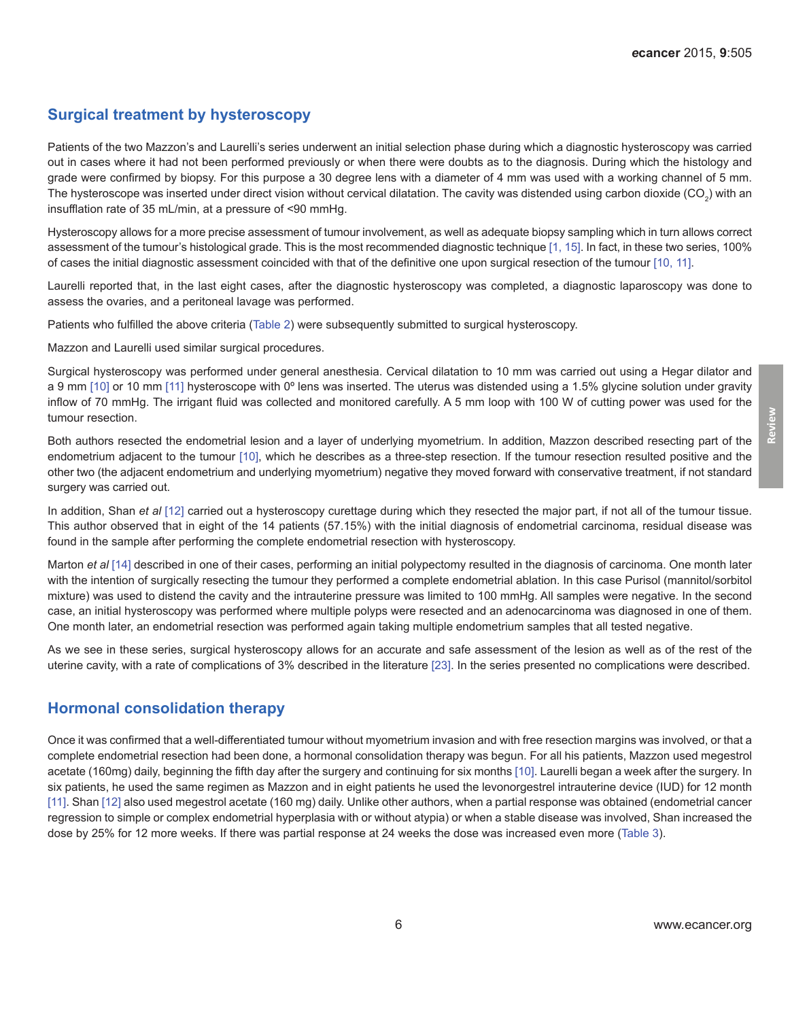#### **Surgical treatment by hysteroscopy**

Patients of the two Mazzon's and Laurelli's series underwent an initial selection phase during which a diagnostic hysteroscopy was carried out in cases where it had not been performed previously or when there were doubts as to the diagnosis. During which the histology and grade were confirmed by biopsy. For this purpose a 30 degree lens with a diameter of 4 mm was used with a working channel of 5 mm. The hysteroscope was inserted under direct vision without cervical dilatation. The cavity was distended using carbon dioxide (CO<sub>2</sub>) with an insufflation rate of 35 mL/min, at a pressure of <90 mmHg.

Hysteroscopy allows for a more precise assessment of tumour involvement, as well as adequate biopsy sampling which in turn allows correct assessment of the tumour's histological grade. This is the most recommended diagnostic technique [\[1,](#page-9-0) [15\]](#page-10-0). In fact, in these two series, 100% of cases the initial diagnostic assessment coincided with that of the definitive one upon surgical resection of the tumour [\[10,](#page-9-0) [11\].](#page-10-0)

Laurelli reported that, in the last eight cases, after the diagnostic hysteroscopy was completed, a diagnostic laparoscopy was done to assess the ovaries, and a peritoneal lavage was performed.

Patients who fulfilled the above criteria [\(Table 2](#page-4-0)) were subsequently submitted to surgical hysteroscopy.

Mazzon and Laurelli used similar surgical procedures.

Surgical hysteroscopy was performed under general anesthesia. Cervical dilatation to 10 mm was carried out using a Hegar dilator and a 9 mm [\[10\]](#page-9-0) or 10 mm [\[11\]](#page-10-0) hysteroscope with 0° lens was inserted. The uterus was distended using a 1.5% glycine solution under gravity inflow of 70 mmHg. The irrigant fluid was collected and monitored carefully. A 5 mm loop with 100 W of cutting power was used for the tumour resection.

Both authors resected the endometrial lesion and a layer of underlying myometrium. In addition, Mazzon described resecting part of the endometrium adjacent to the tumour [\[10\]](#page-9-0), which he describes as a three-step resection. If the tumour resection resulted positive and the other two (the adjacent endometrium and underlying myometrium) negative they moved forward with conservative treatment, if not standard surgery was carried out.

In addition, Shan *et al* [\[12\]](#page-10-0) carried out a hysteroscopy curettage during which they resected the major part, if not all of the tumour tissue. This author observed that in eight of the 14 patients (57.15%) with the initial diagnosis of endometrial carcinoma, residual disease was found in the sample after performing the complete endometrial resection with hysteroscopy.

Marton *et al* [\[14\]](#page-10-0) described in one of their cases, performing an initial polypectomy resulted in the diagnosis of carcinoma. One month later with the intention of surgically resecting the tumour they performed a complete endometrial ablation. In this case Purisol (mannitol/sorbitol mixture) was used to distend the cavity and the intrauterine pressure was limited to 100 mmHg. All samples were negative. In the second case, an initial hysteroscopy was performed where multiple polyps were resected and an adenocarcinoma was diagnosed in one of them. One month later, an endometrial resection was performed again taking multiple endometrium samples that all tested negative.

As we see in these series, surgical hysteroscopy allows for an accurate and safe assessment of the lesion as well as of the rest of the uterine cavity, with a rate of complications of 3% described in the literature [\[23\]](#page-10-0). In the series presented no complications were described.

#### **Hormonal consolidation therapy**

Once it was confirmed that a well-differentiated tumour without myometrium invasion and with free resection margins was involved, or that a complete endometrial resection had been done, a hormonal consolidation therapy was begun. For all his patients, Mazzon used megestrol acetate (160mg) daily, beginning the fifth day after the surgery and continuing for six months [\[10\]](#page-9-0). Laurelli began a week after the surgery. In six patients, he used the same regimen as Mazzon and in eight patients he used the levonorgestrel intrauterine device (IUD) for 12 month [\[11\]](#page-10-0). Shan [\[12\]](#page-10-0) also used megestrol acetate (160 mg) daily. Unlike other authors, when a partial response was obtained (endometrial cancer regression to simple or complex endometrial hyperplasia with or without atypia) or when a stable disease was involved, Shan increased the dose by 25% for 12 more weeks. If there was partial response at 24 weeks the dose was increased even more ([Table 3\)](#page-6-0).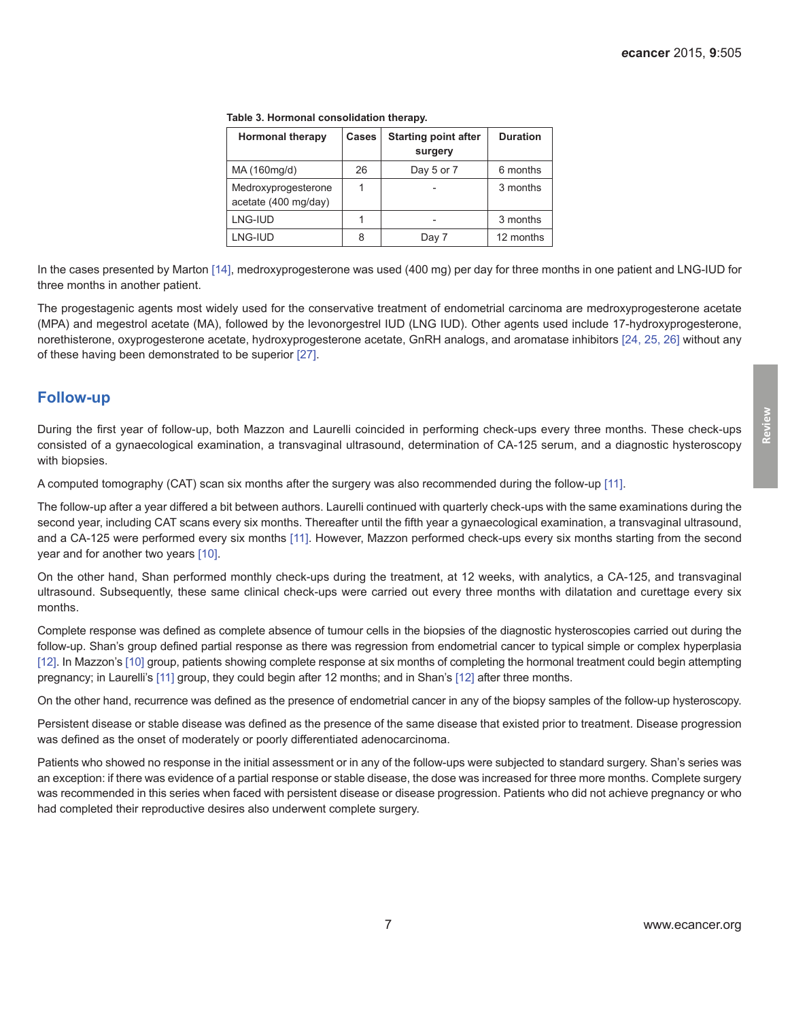| <b>Hormonal therapy</b>                     | <b>Cases</b> | <b>Starting point after</b><br>surgery | <b>Duration</b> |  |  |  |
|---------------------------------------------|--------------|----------------------------------------|-----------------|--|--|--|
| MA (160mg/d)                                | 26           | Day 5 or 7                             | 6 months        |  |  |  |
| Medroxyprogesterone<br>acetate (400 mg/day) |              |                                        | 3 months        |  |  |  |
| LNG-IUD                                     |              |                                        | 3 months        |  |  |  |
| LNG-IUD                                     | 8            | Day 7                                  | 12 months       |  |  |  |

<span id="page-6-0"></span>**Table 3. Hormonal consolidation therapy.** 

In the cases presented by Marton [\[14\]](#page-10-0), medroxyprogesterone was used (400 mg) per day for three months in one patient and LNG-IUD for three months in another patient.

The progestagenic agents most widely used for the conservative treatment of endometrial carcinoma are medroxyprogesterone acetate (MPA) and megestrol acetate (MA), followed by the levonorgestrel IUD (LNG IUD). Other agents used include 17-hydroxyprogesterone, norethisterone, oxyprogesterone acetate, hydroxyprogesterone acetate, GnRH analogs, and aromatase inhibitors [\[24, 25, 26\]](#page-10-0) without any of these having been demonstrated to be superior [\[27\]](#page-10-0).

#### **Follow-up**

During the first year of follow-up, both Mazzon and Laurelli coincided in performing check-ups every three months. These check-ups consisted of a gynaecological examination, a transvaginal ultrasound, determination of CA-125 serum, and a diagnostic hysteroscopy with biopsies.

A computed tomography (CAT) scan six months after the surgery was also recommended during the follow-up [\[11\].](#page-10-0)

The follow-up after a year differed a bit between authors. Laurelli continued with quarterly check-ups with the same examinations during the second year, including CAT scans every six months. Thereafter until the fifth year a gynaecological examination, a transvaginal ultrasound, and a CA-125 were performed every six months [\[11\]](#page-10-0). However, Mazzon performed check-ups every six months starting from the second year and for another two years [\[10\].](#page-9-0)

On the other hand, Shan performed monthly check-ups during the treatment, at 12 weeks, with analytics, a CA-125, and transvaginal ultrasound. Subsequently, these same clinical check-ups were carried out every three months with dilatation and curettage every six months.

Complete response was defined as complete absence of tumour cells in the biopsies of the diagnostic hysteroscopies carried out during the follow-up. Shan's group defined partial response as there was regression from endometrial cancer to typical simple or complex hyperplasia [\[12\].](#page-10-0) In Mazzon's [\[10\]](#page-9-0) group, patients showing complete response at six months of completing the hormonal treatment could begin attempting pregnancy; in Laurelli's [\[11\]](#page-10-0) group, they could begin after 12 months; and in Shan's [\[12\]](#page-10-0) after three months.

On the other hand, recurrence was defined as the presence of endometrial cancer in any of the biopsy samples of the follow-up hysteroscopy.

Persistent disease or stable disease was defined as the presence of the same disease that existed prior to treatment. Disease progression was defined as the onset of moderately or poorly differentiated adenocarcinoma.

Patients who showed no response in the initial assessment or in any of the follow-ups were subjected to standard surgery. Shan's series was an exception: if there was evidence of a partial response or stable disease, the dose was increased for three more months. Complete surgery was recommended in this series when faced with persistent disease or disease progression. Patients who did not achieve pregnancy or who had completed their reproductive desires also underwent complete surgery.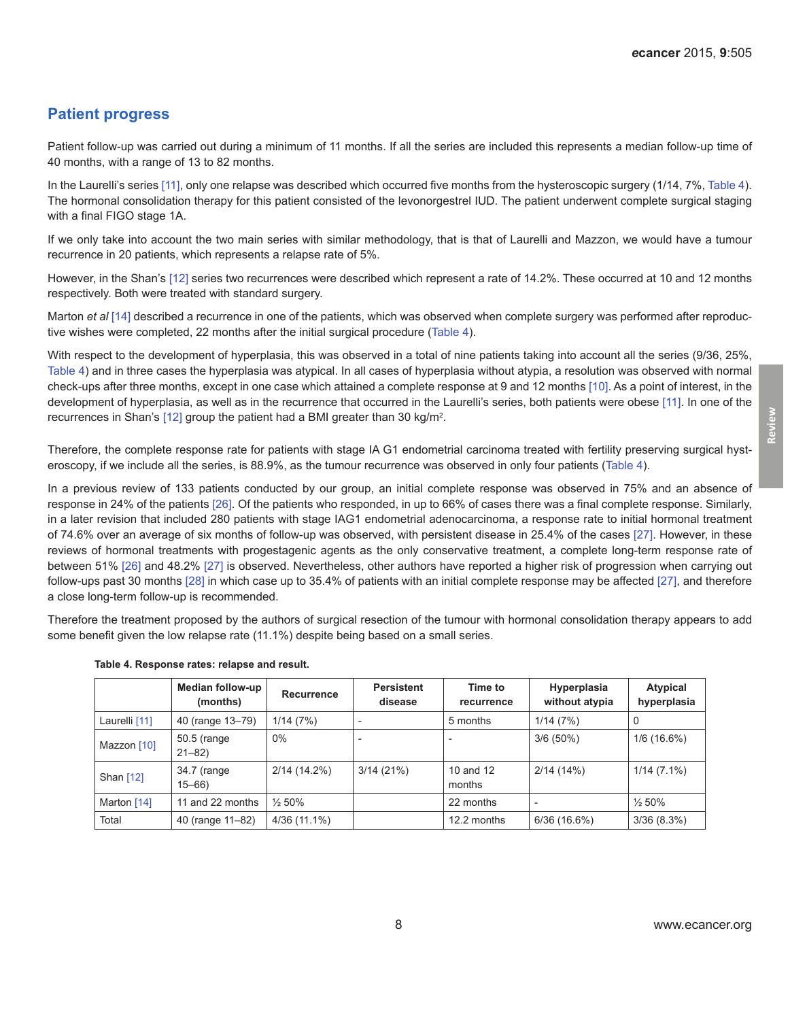#### **Patient progress**

Patient follow-up was carried out during a minimum of 11 months. If all the series are included this represents a median follow-up time of 40 months, with a range of 13 to 82 months.

In the Laurelli's series [\[11\],](#page-10-0) only one relapse was described which occurred five months from the hysteroscopic surgery (1/14, 7%, Table 4). The hormonal consolidation therapy for this patient consisted of the levonorgestrel IUD. The patient underwent complete surgical staging with a final FIGO stage 1A.

If we only take into account the two main series with similar methodology, that is that of Laurelli and Mazzon, we would have a tumour recurrence in 20 patients, which represents a relapse rate of 5%.

However, in the Shan's [\[12\]](#page-10-0) series two recurrences were described which represent a rate of 14.2%. These occurred at 10 and 12 months respectively. Both were treated with standard surgery.

Marton *et al* [\[14\]](#page-10-0) described a recurrence in one of the patients, which was observed when complete surgery was performed after reproductive wishes were completed, 22 months after the initial surgical procedure (Table 4).

With respect to the development of hyperplasia, this was observed in a total of nine patients taking into account all the series (9/36, 25%, Table 4) and in three cases the hyperplasia was atypical. In all cases of hyperplasia without atypia, a resolution was observed with normal check-ups after three months, except in one case which attained a complete response at 9 and 12 months [\[10\]](#page-9-0). As a point of interest, in the development of hyperplasia, as well as in the recurrence that occurred in the Laurelli's series, both patients were obese [\[11\].](#page-10-0) In one of the recurrences in Shan's [\[12\]](#page-10-0) group the patient had a BMI greater than 30 kg/m<sup>2</sup>.

Therefore, the complete response rate for patients with stage IA G1 endometrial carcinoma treated with fertility preserving surgical hysteroscopy, if we include all the series, is 88.9%, as the tumour recurrence was observed in only four patients (Table 4).

In a previous review of 133 patients conducted by our group, an initial complete response was observed in 75% and an absence of response in 24% of the patients [\[26\].](#page-10-0) Of the patients who responded, in up to 66% of cases there was a final complete response. Similarly, in a later revision that included 280 patients with stage IAG1 endometrial adenocarcinoma, a response rate to initial hormonal treatment of 74.6% over an average of six months of follow-up was observed, with persistent disease in 25.4% of the cases [\[27\]](#page-10-0). However, in these reviews of hormonal treatments with progestagenic agents as the only conservative treatment, a complete long-term response rate of between 51% [\[26\]](#page-10-0) and 48.2% [\[27\]](#page-10-0) is observed. Nevertheless, other authors have reported a higher risk of progression when carrying out follow-ups past 30 months [\[28\]](#page-10-0) in which case up to 35.4% of patients with an initial complete response may be affected [\[27\],](#page-10-0) and therefore a close long-term follow-up is recommended.

Therefore the treatment proposed by the authors of surgical resection of the tumour with hormonal consolidation therapy appears to add some benefit given the low relapse rate (11.1%) despite being based on a small series.

|               | Median follow-up<br>(months) | Recurrence        | <b>Persistent</b><br>disease | Time to<br>recurrence | Hyperplasia<br>without atypia | Atypical<br>hyperplasia |
|---------------|------------------------------|-------------------|------------------------------|-----------------------|-------------------------------|-------------------------|
| Laurelli [11] | 40 (range 13-79)             | 1/14(7%)          | $\overline{\phantom{a}}$     | 5 months              | 1/14(7%)                      | 0                       |
| Mazzon [10]   | 50.5 (range<br>$21 - 82$     | $0\%$             | $\overline{\phantom{a}}$     |                       | $3/6(50\%)$                   | 1/6 (16.6%)             |
| Shan [12]     | 34.7 (range<br>$15 - 66$     | $2/14(14.2\%)$    | 3/14(21%)                    | 10 and 12<br>months   | 2/14(14%)                     | $1/14(7.1\%)$           |
| Marton [14]   | 11 and 22 months             | $\frac{1}{2}$ 50% |                              | 22 months             |                               | $\frac{1}{2}$ 50%       |
| Total         | 40 (range 11-82)             | 4/36 (11.1%)      |                              | 12.2 months           | 6/36(16.6%)                   | $3/36(8.3\%)$           |

#### **Table 4. Response rates: relapse and result.**

**Review**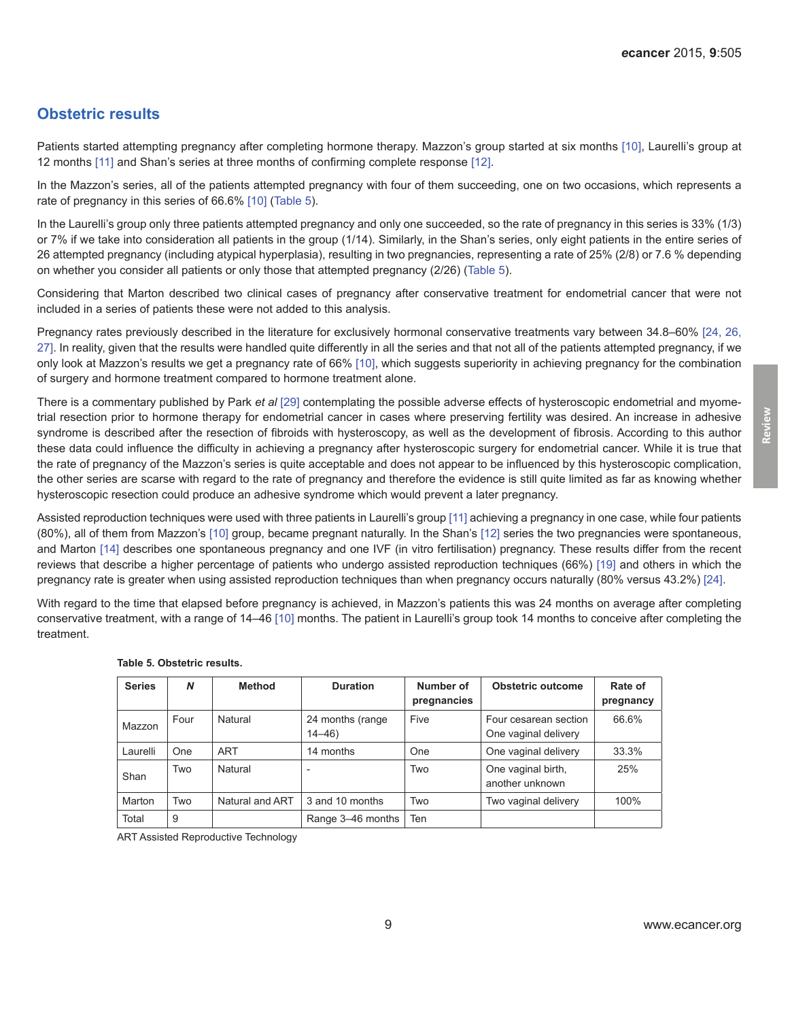**Review**

## **Obstetric results**

Patients started attempting pregnancy after completing hormone therapy. Mazzon's group started at six months [\[10\]](#page-9-0), Laurelli's group at 12 months [\[11\]](#page-10-0) and Shan's series at three months of confirming complete response [\[12\]](#page-10-0).

In the Mazzon's series, all of the patients attempted pregnancy with four of them succeeding, one on two occasions, which represents a rate of pregnancy in this series of 66.6% [\[10\]](#page-9-0) (Table 5).

In the Laurelli's group only three patients attempted pregnancy and only one succeeded, so the rate of pregnancy in this series is 33% (1/3) or 7% if we take into consideration all patients in the group (1/14). Similarly, in the Shan's series, only eight patients in the entire series of 26 attempted pregnancy (including atypical hyperplasia), resulting in two pregnancies, representing a rate of 25% (2/8) or 7.6 % depending on whether you consider all patients or only those that attempted pregnancy (2/26) (Table 5).

Considering that Marton described two clinical cases of pregnancy after conservative treatment for endometrial cancer that were not included in a series of patients these were not added to this analysis.

Pregnancy rates previously described in the literature for exclusively hormonal conservative treatments vary between 34.8–60% [\[24, 26,](#page-10-0)  [27\]](#page-10-0). In reality, given that the results were handled quite differently in all the series and that not all of the patients attempted pregnancy, if we only look at Mazzon's results we get a pregnancy rate of 66% [\[10\],](#page-9-0) which suggests superiority in achieving pregnancy for the combination of surgery and hormone treatment compared to hormone treatment alone.

There is a commentary published by Park *et al* [\[29\]](#page-10-0) contemplating the possible adverse effects of hysteroscopic endometrial and myometrial resection prior to hormone therapy for endometrial cancer in cases where preserving fertility was desired. An increase in adhesive syndrome is described after the resection of fibroids with hysteroscopy, as well as the development of fibrosis. According to this author these data could influence the difficulty in achieving a pregnancy after hysteroscopic surgery for endometrial cancer. While it is true that the rate of pregnancy of the Mazzon's series is quite acceptable and does not appear to be influenced by this hysteroscopic complication, the other series are scarse with regard to the rate of pregnancy and therefore the evidence is still quite limited as far as knowing whether hysteroscopic resection could produce an adhesive syndrome which would prevent a later pregnancy.

Assisted reproduction techniques were used with three patients in Laurelli's group [\[11\]](#page-10-0) achieving a pregnancy in one case, while four patients (80%), all of them from Mazzon's [\[10\]](#page-9-0) group, became pregnant naturally. In the Shan's [\[12\]](#page-10-0) series the two pregnancies were spontaneous, and Marton [\[14\]](#page-10-0) describes one spontaneous pregnancy and one IVF (in vitro fertilisation) pregnancy. These results differ from the recent reviews that describe a higher percentage of patients who undergo assisted reproduction techniques (66%) [\[19\]](#page-10-0) and others in which the pregnancy rate is greater when using assisted reproduction techniques than when pregnancy occurs naturally (80% versus 43.2%) [\[24\]](#page-10-0).

With regard to the time that elapsed before pregnancy is achieved, in Mazzon's patients this was 24 months on average after completing conservative treatment, with a range of 14–46 [\[10\]](#page-9-0) months. The patient in Laurelli's group took 14 months to conceive after completing the treatment.

| <b>Series</b> | N    | <b>Method</b>   | <b>Duration</b>                | Number of<br>pregnancies | Obstetric outcome                             | Rate of<br>pregnancy |
|---------------|------|-----------------|--------------------------------|--------------------------|-----------------------------------------------|----------------------|
| Mazzon        | Four | Natural         | 24 months (range)<br>$14 - 46$ | Five                     | Four cesarean section<br>One vaginal delivery | 66.6%                |
| Laurelli      | One  | <b>ART</b>      | 14 months                      | One                      | One vaginal delivery                          | 33.3%                |
| Shan          | Two  | Natural         | $\overline{\phantom{a}}$       | Two                      | One vaginal birth,<br>another unknown         | 25%                  |
| Marton        | Two  | Natural and ART | 3 and 10 months                | Two                      | Two vaginal delivery                          | 100%                 |
| Total         | 9    |                 | Range 3-46 months              | Ten                      |                                               |                      |

#### **Table 5. Obstetric results.**

ART Assisted Reproductive Technology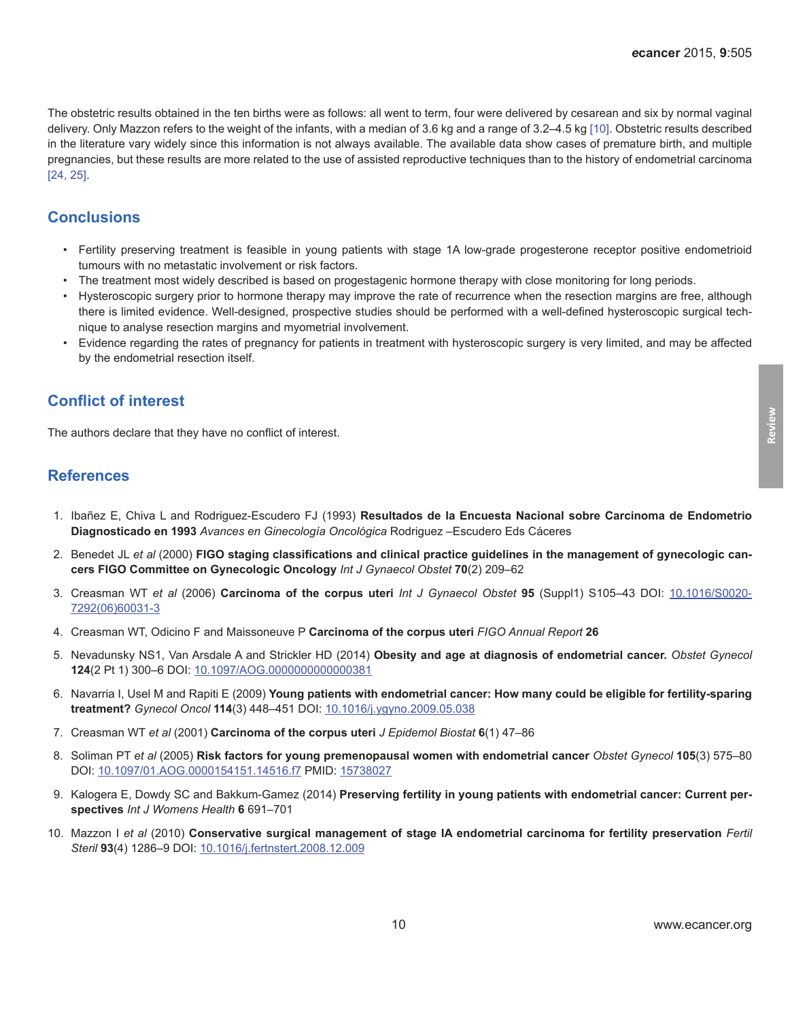<span id="page-9-0"></span>The obstetric results obtained in the ten births were as follows: all went to term, four were delivered by cesarean and six by normal vaginal delivery. Only Mazzon refers to the weight of the infants, with a median of 3.6 kg and a range of 3.2–4.5 kg [10]. Obstetric results described in the literature vary widely since this information is not always available. The available data show cases of premature birth, and multiple pregnancies, but these results are more related to the use of assisted reproductive techniques than to the history of endometrial carcinoma [\[24, 25\]](#page-10-0).

#### **Conclusions**

- • Fertility preserving treatment is feasible in young patients with stage 1A low-grade progesterone receptor positive endometrioid tumours with no metastatic involvement or risk factors.
- • The treatment most widely described is based on progestagenic hormone therapy with close monitoring for long periods.
- • Hysteroscopic surgery prior to hormone therapy may improve the rate of recurrence when the resection margins are free, although there is limited evidence. Well-designed, prospective studies should be performed with a well-defined hysteroscopic surgical technique to analyse resection margins and myometrial involvement.
- • Evidence regarding the rates of pregnancy for patients in treatment with hysteroscopic surgery is very limited, and may be affected by the endometrial resection itself.

## **Conflict of interest**

The authors declare that they have no conflict of interest.

#### **References**

- 1. Ibañez E, Chiva L and Rodriguez-Escudero FJ (1993) **Resultados de la Encuesta Nacional sobre Carcinoma de Endometrio Diagnosticado en 1993** *Avances en Ginecología Oncológica* Rodriguez –Escudero Eds Cáceres
- 2. Benedet JL *et al* (2000) **FIGO staging classifications and clinical practice guidelines in the management of gynecologic cancers FIGO Committee on Gynecologic Oncology** *Int J Gynaecol Obstet* **70**(2) 209–62
- 3. Creasman WT *et al* (2006) **Carcinoma of the corpus uteri** *Int J Gynaecol Obstet* **95** (Suppl1) S105–43 DOI: [10.1016/S0020-](http://dx.doi.org/10.1016/S0020-7292(06)60031-3) [7292\(06\)60031-3](http://dx.doi.org/10.1016/S0020-7292(06)60031-3)
- 4. Creasman WT, Odicino F and Maissoneuve P **Carcinoma of the corpus uteri** *FIGO Annual Report* **26**
- 5. Nevadunsky NS1, Van Arsdale A and Strickler HD (2014) **Obesity and age at diagnosis of endometrial cancer.** *Obstet Gynecol* **124**(2 Pt 1) 300–6 DOI: [10.1097/AOG.0000000000000381](http://dx.doi.org/10.1097/AOG.0000000000000381)
- 6. Navarria I, Usel M and Rapiti E (2009) **Young patients with endometrial cancer: How many could be eligible for fertility-sparing treatment?** *Gynecol Oncol* **114**(3) 448–451 DOI: [10.1016/j.ygyno.2009.05.038](http://dx.doi.org/10.1016/j.ygyno.2009.05.038)
- 7. Creasman WT *et al* (2001) **Carcinoma of the corpus uteri** *J Epidemol Biostat* **6**(1) 47–86
- 8. Soliman PT *et al* (2005) **Risk factors for young premenopausal women with endometrial cancer** *Obstet Gynecol* **105**(3) 575–80 DOI: [10.1097/01.AOG.0000154151.14516.f7](http://dx.doi.org/10.1097/01.AOG.0000154151.14516.f7) PMID: [15738027](http://www.ncbi.nlm.nih.gov/pubmed/15738027)
- 9. Kalogera E, Dowdy SC and Bakkum-Gamez (2014) **Preserving fertility in young patients with endometrial cancer: Current perspectives** *Int J Womens Health* **6** 691–701
- 10. Mazzon I *et al* (2010) **Conservative surgical management of stage IA endometrial carcinoma for fertility preservation** *Fertil Steril* **93**(4) 1286–9 DOI: [10.1016/j.fertnstert.2008.12.009](http://dx.doi.org/10.1016/j.fertnstert.2008.12.009)